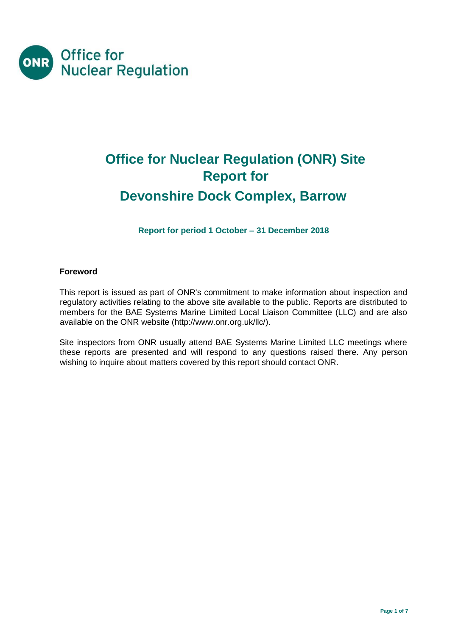

# **Office for Nuclear Regulation (ONR) Site Report for Devonshire Dock Complex, Barrow**

**Report for period 1 October – 31 December 2018** 

#### **Foreword**

This report is issued as part of ONR's commitment to make information about inspection and regulatory activities relating to the above site available to the public. Reports are distributed to members for the BAE Systems Marine Limited Local Liaison Committee (LLC) and are also available on the ONR website [\(http://www.onr.org.uk/llc/\).](http://www.onr.org.uk/llc/)

Site inspectors from ONR usually attend BAE Systems Marine Limited LLC meetings where these reports are presented and will respond to any questions raised there. Any person wishing to inquire about matters covered by this report should contact ONR.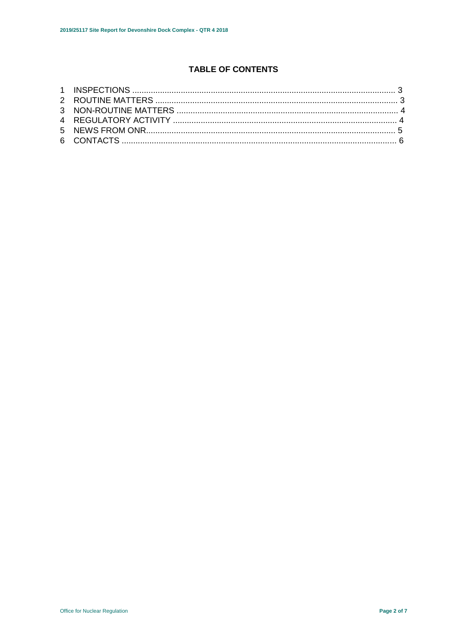## **TABLE OF CONTENTS**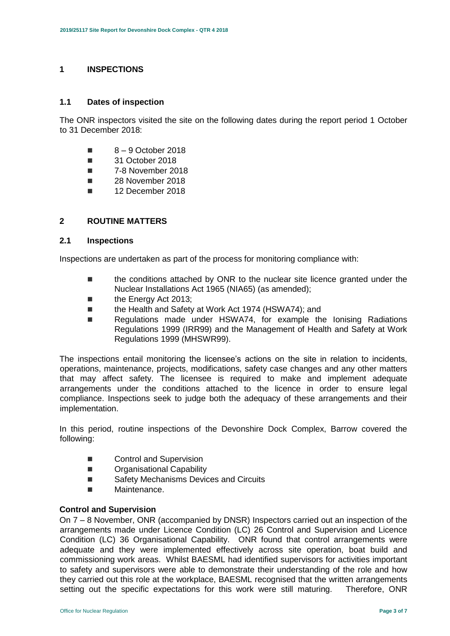#### **1 INSPECTIONS**

#### **1.1 Dates of inspection**

The ONR inspectors visited the site on the following dates during the report period 1 October to 31 December 2018:

- $8 9$  October 2018
- 31 October 2018
- 7-8 November 2018
- **28 November 2018**
- **12 December 2018**

#### **2 ROUTINE MATTERS**

#### **2.1 Inspections**

Inspections are undertaken as part of the process for monitoring compliance with:

- the conditions attached by ONR to the nuclear site licence granted under the Nuclear Installations Act 1965 (NIA65) (as amended);
- **the Energy Act 2013;**
- the Health and Safety at Work Act 1974 (HSWA74); and
- Regulations made under HSWA74, for example the Ionising Radiations Regulations 1999 (IRR99) and the Management of Health and Safety at Work Regulations 1999 (MHSWR99).

The inspections entail monitoring the licensee's actions on the site in relation to incidents, operations, maintenance, projects, modifications, safety case changes and any other matters that may affect safety. The licensee is required to make and implement adequate arrangements under the conditions attached to the licence in order to ensure legal compliance. Inspections seek to judge both the adequacy of these arrangements and their implementation.

In this period, routine inspections of the Devonshire Dock Complex, Barrow covered the following:

- Control and Supervision
- **Dranisational Capability**
- Safety Mechanisms Devices and Circuits
- **Maintenance.**

#### **Control and Supervision**

On 7 – 8 November, ONR (accompanied by DNSR) Inspectors carried out an inspection of the arrangements made under Licence Condition (LC) 26 Control and Supervision and Licence Condition (LC) 36 Organisational Capability. ONR found that control arrangements were adequate and they were implemented effectively across site operation, boat build and commissioning work areas. Whilst BAESML had identified supervisors for activities important to safety and supervisors were able to demonstrate their understanding of the role and how they carried out this role at the workplace, BAESML recognised that the written arrangements setting out the specific expectations for this work were still maturing. Therefore, ONR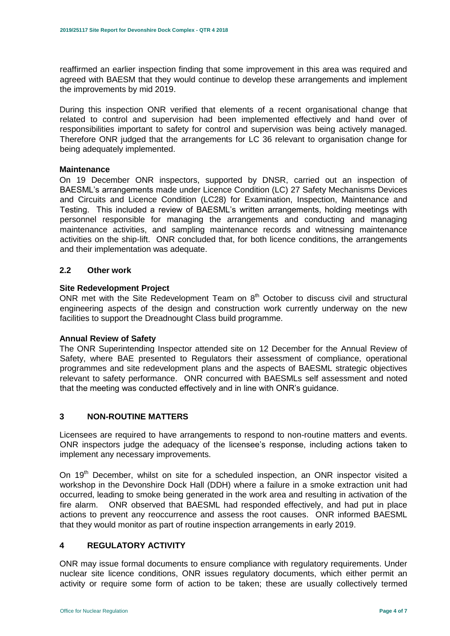reaffirmed an earlier inspection finding that some improvement in this area was required and agreed with BAESM that they would continue to develop these arrangements and implement the improvements by mid 2019.

During this inspection ONR verified that elements of a recent organisational change that related to control and supervision had been implemented effectively and hand over of responsibilities important to safety for control and supervision was being actively managed. Therefore ONR judged that the arrangements for LC 36 relevant to organisation change for being adequately implemented.

#### **Maintenance**

On 19 December ONR inspectors, supported by DNSR, carried out an inspection of BAESML's arrangements made under Licence Condition (LC) 27 Safety Mechanisms Devices and Circuits and Licence Condition (LC28) for Examination, Inspection, Maintenance and Testing. This included a review of BAESML's written arrangements, holding meetings with personnel responsible for managing the arrangements and conducting and managing maintenance activities, and sampling maintenance records and witnessing maintenance activities on the ship-lift. ONR concluded that, for both licence conditions, the arrangements and their implementation was adequate.

#### **2.2 Other work**

#### **Site Redevelopment Project**

ONR met with the Site Redevelopment Team on  $8<sup>th</sup>$  October to discuss civil and structural engineering aspects of the design and construction work currently underway on the new facilities to support the Dreadnought Class build programme.

#### **Annual Review of Safety**

The ONR Superintending Inspector attended site on 12 December for the Annual Review of Safety, where BAE presented to Regulators their assessment of compliance, operational programmes and site redevelopment plans and the aspects of BAESML strategic objectives relevant to safety performance. ONR concurred with BAESMLs self assessment and noted that the meeting was conducted effectively and in line with ONR's guidance.

#### **3 NON-ROUTINE MATTERS**

Licensees are required to have arrangements to respond to non-routine matters and events. ONR inspectors judge the adequacy of the licensee's response, including actions taken to implement any necessary improvements.

On 19<sup>th</sup> December, whilst on site for a scheduled inspection, an ONR inspector visited a workshop in the Devonshire Dock Hall (DDH) where a failure in a smoke extraction unit had occurred, leading to smoke being generated in the work area and resulting in activation of the fire alarm. ONR observed that BAESML had responded effectively, and had put in place actions to prevent any reoccurrence and assess the root causes. ONR informed BAESML that they would monitor as part of routine inspection arrangements in early 2019.

#### **4 REGULATORY ACTIVITY**

ONR may issue formal documents to ensure compliance with regulatory requirements. Under nuclear site licence conditions, ONR issues regulatory documents, which either permit an activity or require some form of action to be taken; these are usually collectively termed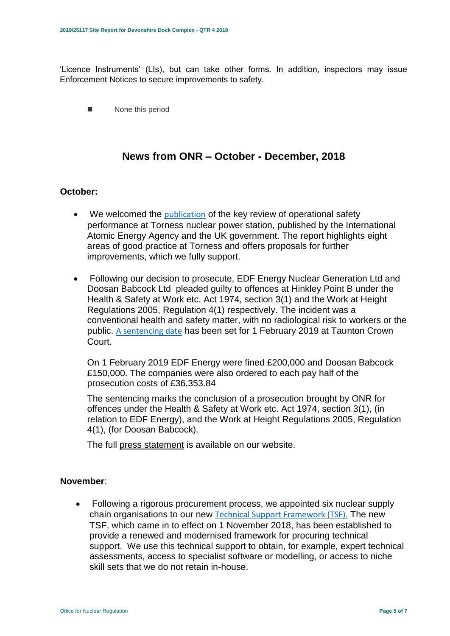'Licence Instruments' (LIs), but can take other forms. In addition, inspectors may issue Enforcement Notices to secure improvements to safety.

None this period

# **News from ONR – October - December, 2018**

## **October:**

- We welcomed the [publication](http://news.onr.org.uk/2018/10/iaea-review-torness-power-station/) of the key review of operational safety performance at Torness nuclear power station, published by the International Atomic Energy Agency and the UK government. The report highlights eight areas of good practice at Torness and offers proposals for further improvements, which we fully support.
- Following our decision to prosecute, EDF Energy Nuclear Generation Ltd and Doosan Babcock Ltd pleaded guilty to offences at Hinkley Point B under the Health & Safety at Work etc. Act 1974, section 3(1) and the Work at Height Regulations 2005, Regulation 4(1) respectively. The incident was a conventional health and safety matter, with no radiological risk to workers or the public. [A sentencing date](http://news.onr.org.uk/2018/10/edf-and-doosan-babcock-plead-guilty/) has been set for 1 February 2019 at Taunton Crown Court.

On 1 February 2019 EDF Energy were fined £200,000 and Doosan Babcock £150,000. The companies were also ordered to each pay half of the prosecution costs of £36,353.84

The sentencing marks the conclusion of a prosecution brought by ONR for offences under the Health & Safety at Work etc. Act 1974, section 3(1), (in relation to EDF Energy), and the Work at Height Regulations 2005, Regulation 4(1), (for Doosan Babcock).

The full [press statement](http://news.onr.org.uk/2019/02/companies-fined-for-health-and-safety-breaches/) is available on our website.

#### **November**:

 Following a rigorous procurement process, we appointed six nuclear supply chain organisations to our new [Technical Support Framework \(TSF\).](http://news.onr.org.uk/2018/11/new-technical-support-framework-announced/) The new TSF, which came in to effect on 1 November 2018, has been established to provide a renewed and modernised framework for procuring technical support. We use this technical support to obtain, for example, expert technical assessments, access to specialist software or modelling, or access to niche skill sets that we do not retain in-house.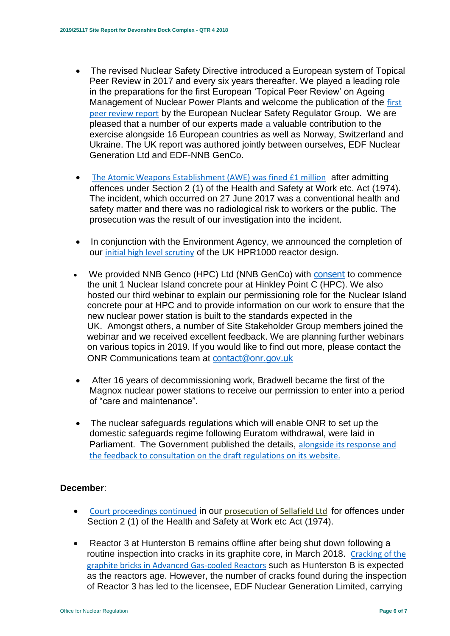- The revised Nuclear Safety Directive introduced a European system of Topical Peer Review in 2017 and every six years thereafter. We played a leading role in the preparations for the first European 'Topical Peer Review' on Ageing Management of Nuclear Power Plants and welcome the publication of the [first](http://news.onr.org.uk/2018/11/onr-welcomes-first-topical-peer-review/)  [peer review report](http://news.onr.org.uk/2018/11/onr-welcomes-first-topical-peer-review/) by the European Nuclear Safety Regulator Group. We are pleased that a number of our experts made a valuable contribution to the exercise alongside 16 European countries as well as Norway, Switzerland and Ukraine. The UK report was authored jointly between ourselves, EDF Nuclear Generation Ltd and EDF-NNB GenCo.
- [The Atomic Weapons Establishment \(AWE\) was fined £1 million](http://news.onr.org.uk/2018/11/awe-prosecution-reaction/) after admitting offences under Section 2 (1) of the Health and Safety at Work etc. Act (1974). The incident, which occurred on 27 June 2017 was a conventional health and safety matter and there was no radiological risk to workers or the public. The prosecution was the result of our investigation into the incident.
- In conjunction with the Environment Agency, we announced the completion of our [initial high level scrutiny](http://news.onr.org.uk/2018/11/uk-hpr1000-completes-gda-step-2/) of the UK HPR1000 reactor design.
- We provided NNB Genco (HPC) Ltd (NNB GenCo) with [consent](http://news.onr.org.uk/2018/11/consent-for-hinkley-point-c-nuclear-island-concrete-pour/) to commence the unit 1 Nuclear Island concrete pour at Hinkley Point C (HPC). We also hosted our third webinar to explain our permissioning role for the Nuclear Island concrete pour at HPC and to provide information on our work to ensure that the new nuclear power station is built to the standards expected in the UK. Amongst others, a number of Site Stakeholder Group members joined the webinar and we received excellent feedback. We are planning further webinars on various topics in 2019. If you would like to find out more, please contact the ONR Communications team at [contact@onr.gov.uk](mailto:contact@onr.gov.uk)
- After 16 years of decommissioning work, Bradwell became the first of the Magnox nuclear power stations to receive our permission to enter into a period of "care and maintenance".
- The nuclear safeguards regulations which will enable ONR to set up the domestic safeguards regime following Euratom withdrawal, were laid in Parliament. The Government published the details, [alongside its response and](https://www.gov.uk/government/consultations/nuclear-safeguards-regulations)  [the feedback to consultation on the draft regulations on its website.](https://www.gov.uk/government/consultations/nuclear-safeguards-regulations)

# **December**:

- [Court proceedings continued](http://news.onr.org.uk/2018/12/prosecution-of-sellafield-ltd/) in our [prosecution of Sellafield Ltd](http://news.onr.org.uk/2018/07/update-prosecution-of-sellafield-ltd/) for offences under Section 2 (1) of the Health and Safety at Work etc Act (1974).
- Reactor 3 at Hunterston B remains offline after being shut down following a routine inspection into cracks in its graphite core, in March 2018. [Cracking of the](http://www.onr.org.uk/civil-nuclear-reactors/graphite-core-of-agrs.htm)  [graphite bricks in Advanced Gas-cooled Reactors](http://www.onr.org.uk/civil-nuclear-reactors/graphite-core-of-agrs.htm) such as Hunterston B is expected as the reactors age. However, the number of cracks found during the inspection of Reactor 3 has led to the licensee, EDF Nuclear Generation Limited, carrying